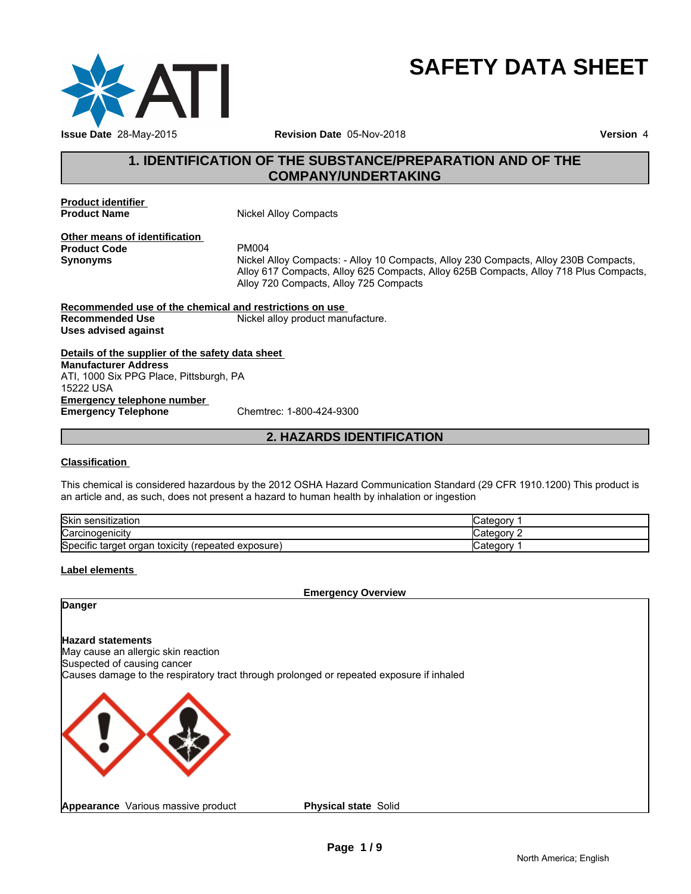

# **SAFETY DATA SHEET**

# **1. IDENTIFICATION OF THE SUBSTANCE/PREPARATION AND OF THE<br>
THE SUBSTANCE/PREPARATION AND OF THE<br>
The COMPANY/UNDERTAKING<br>
The Mickel Allov Compacts COMPANY/UNDERTAKING**

**Product identifier** 

**Nickel Alloy Compacts** 

**Other means of identification**<br>**Product Code** PM004 **Product Code**<br>Synonyms

**Synonyms** Nickel Alloy Compacts: - Alloy 10 Compacts, Alloy 230 Compacts, Alloy 230B Compacts, Alloy 617 Compacts, Alloy 625 Compacts, Alloy 625B Compacts, Alloy 718 Plus Compacts, Alloy 720 Compacts, Alloy 725 Compacts <sup>4</sup><br>Alloy Compacts: - Alloy 10 Compacts, Alloy 230 Compacts, Alloy 230B Comp<br>117 Compacts, Alloy 625 Compacts, Alloy 625B Compacts, Alloy 718 Plus Cor<br>20 Compacts, Alloy 725 Compacts<br>stri**ctions on use**<br>alloy product manuf

**Recommended use of the chemical and restrictions on use Recommended Use Mickel alloy product manufacture. Uses advised against**

**Details of the supplier of the safety data sheet Emergency telephone number<br>
Emergency Telephone**<br>
Chemtrec: 1-800-424-9300 **Emergency Telephone Manufacturer Address** ATI, 1000 Six PPG Place, Pittsburgh, PA 15222 USA

### **Classification**

This chemical is considered hazardous by the 2012 OSHA Hazard Communication Standard (29 CFR 1910.1200) This product is an article and, as such, does not present a hazard to human health by inhalation or ingestion

| <b>Skin</b><br>sensitization                                           | `categor  |
|------------------------------------------------------------------------|-----------|
| ∽<br>$\cdot$ $\cdot$<br>Carcinogenicity                                | ∵ategoryٽ |
| Specific target<br>toxicity<br><i>(repeated)</i><br>exposure)<br>organ | Categor ن |

### **Label elements**

**Emergency Overview**

### **Danger**

### **Hazard statements**

May cause an allergic skin reaction Suspected of causing cancer Causes damage to the respiratory tract through prolonged or repeated exposure if inhaled



**Physical state** Solid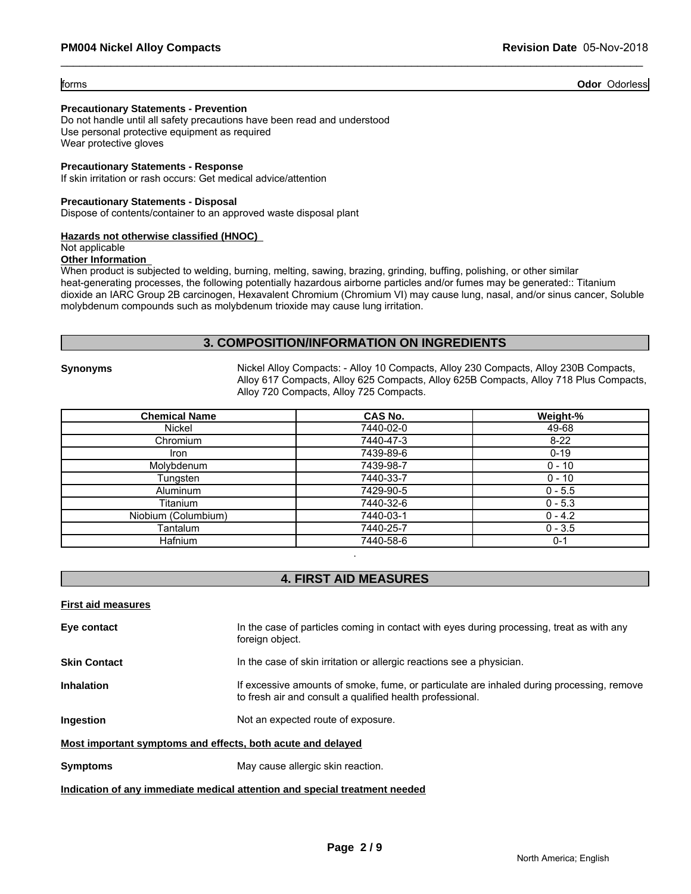forms **Odor** Odorless

### **Precautionary Statements - Prevention**

Do not handle until all safety precautions have been read and understood Use personal protective equipment as required Wear protective gloves

### **Precautionary Statements - Response**

If skin irritation or rash occurs: Get medical advice/attention

### **Precautionary Statements - Disposal**

Dispose of contents/container to an approved waste disposal plant

### **Hazards not otherwise classified (HNOC)**

### Not applicable

### **Other Information**

When product is subjected to welding, burning, melting, sawing, brazing, grinding, buffing, polishing, or other similar heat-generating processes, the following potentially hazardous airborne particles and/or fumes may be generated:: Titanium dioxide an IARC Group 2B carcinogen, Hexavalent Chromium (Chromium VI) may cause lung, nasal, and/or sinus cancer, Soluble molybdenum compounds such as molybdenum trioxide may cause lung irritation.

### **3. COMPOSITION/INFORMATION ON INGREDIENTS**

**Synonyms** Nickel Alloy Compacts: - Alloy 10 Compacts, Alloy 230 Compacts, Alloy 230B Compacts, Alloy 617 Compacts, Alloy 625 Compacts, Alloy 625B Compacts, Alloy 718 Plus Compacts, Alloy 720 Compacts, Alloy 725 Compacts.

| <b>Chemical Name</b> | CAS No.   | Weight-%  |
|----------------------|-----------|-----------|
| Nickel               | 7440-02-0 | 49-68     |
| Chromium             | 7440-47-3 | $8 - 22$  |
| Iron                 | 7439-89-6 | $0 - 19$  |
| Molybdenum           | 7439-98-7 | $0 - 10$  |
| Tungsten             | 7440-33-7 | $0 - 10$  |
| Aluminum             | 7429-90-5 | $0 - 5.5$ |
| Titanium             | 7440-32-6 | $0 - 5.3$ |
| Niobium (Columbium)  | 7440-03-1 | $0 - 4.2$ |
| Tantalum             | 7440-25-7 | $0 - 3.5$ |
| <b>Hafnium</b>       | 7440-58-6 | $0 - 1$   |

### **4. FIRST AID MEASURES**

**First aid measures**

**Eye contact** In the case of particles coming in contact with eyes during processing, treat as with any foreign object.

.

**Skin Contact In the case of skin irritation or allergic reactions see a physician.** 

**Inhalation** If excessive amounts of smoke, fume, or particulate are inhaled during processing, remove to fresh air and consult a qualified health professional.

**Ingestion Ingestion Ingestion Ingestion I** 

### **Most important symptoms and effects, both acute and delayed**

**Symptoms** May cause allergic skin reaction.

### **Indication of any immediate medical attention and special treatment needed**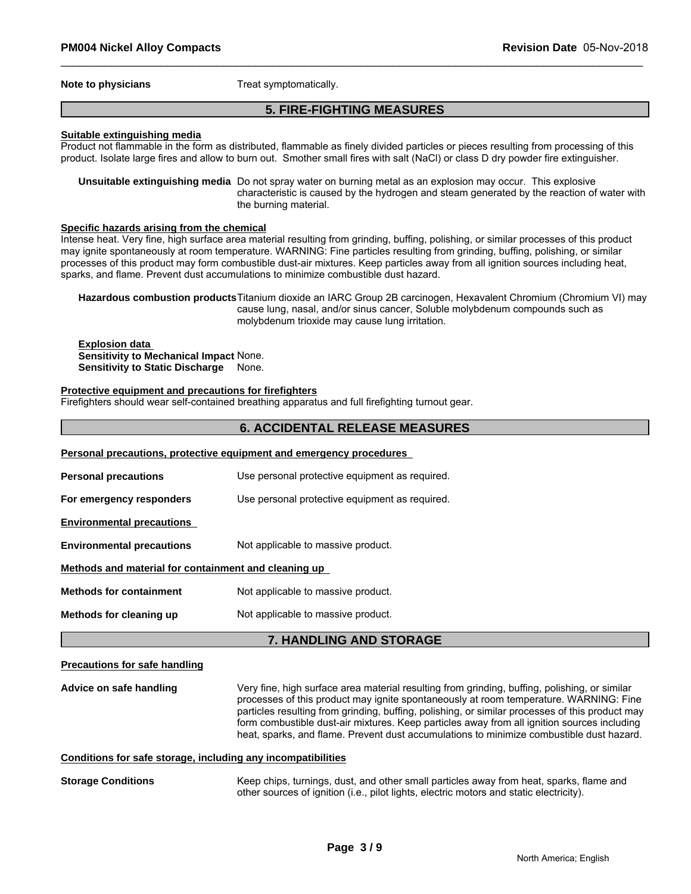**Note to physicians** Treat symptomatically.

### **5. FIRE-FIGHTING MEASURES**

### **Suitable extinguishing media**

Product not flammable in the form as distributed, flammable as finely divided particles or pieces resulting from processing of this product. Isolate large fires and allow to burn out. Smother small fires with salt (NaCl) or class D dry powder fire extinguisher.

**Unsuitable extinguishing media** Do not spray water on burning metal as an explosion may occur. This explosive characteristic is caused by the hydrogen and steam generated by the reaction of water with the burning material.

### **Specific hazards arising from the chemical**

Intense heat. Very fine, high surface area material resulting from grinding, buffing, polishing, or similar processes of this product may ignite spontaneously at room temperature. WARNING: Fine particles resulting from grinding, buffing, polishing, or similar processes of this product may form combustible dust-air mixtures. Keep particles away from all ignition sources including heat, sparks, and flame. Prevent dust accumulations to minimize combustible dust hazard.

**Hazardous combustion products**Titanium dioxide an IARC Group 2B carcinogen, Hexavalent Chromium (Chromium VI) may cause lung, nasal, and/or sinus cancer, Soluble molybdenum compounds such as molybdenum trioxide may cause lung irritation.

**Explosion data Sensitivity to Mechanical Impact** None. **Sensitivity to Static Discharge** None.

### **Protective equipment and precautions for firefighters**

Firefighters should wear self-contained breathing apparatus and full firefighting turnout gear.

### **6. ACCIDENTAL RELEASE MEASURES**

|                                                      | Personal precautions, protective equipment and emergency procedures |
|------------------------------------------------------|---------------------------------------------------------------------|
| <b>Personal precautions</b>                          | Use personal protective equipment as required.                      |
| For emergency responders                             | Use personal protective equipment as required.                      |
| <b>Environmental precautions</b>                     |                                                                     |
| <b>Environmental precautions</b>                     | Not applicable to massive product.                                  |
| Methods and material for containment and cleaning up |                                                                     |
| <b>Methods for containment</b>                       | Not applicable to massive product.                                  |
| Methods for cleaning up                              | Not applicable to massive product.                                  |

### **7. HANDLING AND STORAGE**

### **Precautions for safe handling**

**Advice on safe handling** Very fine, high surface area material resulting from grinding, buffing, polishing, or similar processes of this product may ignite spontaneously at room temperature. WARNING: Fine particles resulting from grinding, buffing, polishing, or similar processes of this product may form combustible dust-air mixtures. Keep particles away from all ignition sources including heat, sparks, and flame. Prevent dust accumulations to minimize combustible dust hazard.

### **Conditions for safe storage, including any incompatibilities**

**Storage Conditions** Keep chips, turnings, dust, and other small particles away from heat, sparks, flame and other sources of ignition (i.e., pilot lights, electric motors and static electricity).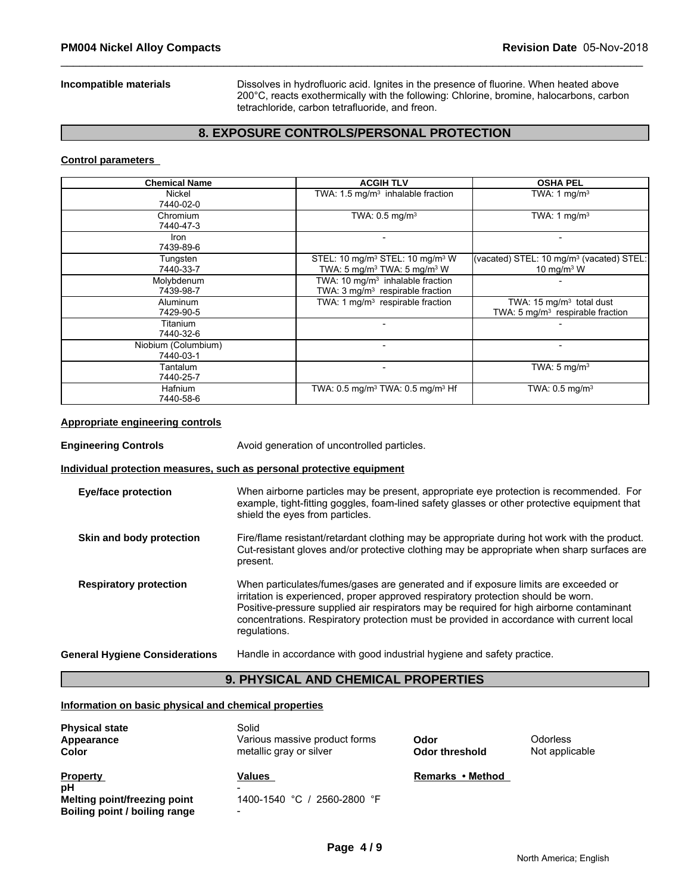**Incompatible materials** Dissolves in hydrofluoric acid. Ignites in the presence of fluorine. When heated above 200°C, reacts exothermically with the following: Chlorine, bromine, halocarbons, carbon tetrachloride, carbon tetrafluoride, and freon.

### **8. EXPOSURE CONTROLS/PERSONAL PROTECTION**

### **Control parameters**

| <b>Chemical Name</b>             | <b>ACGIH TLV</b>                                                                                               | <b>OSHA PEL</b>                                                            |
|----------------------------------|----------------------------------------------------------------------------------------------------------------|----------------------------------------------------------------------------|
| Nickel<br>7440-02-0              | TWA: $1.5 \text{ mg/m}^3$ inhalable fraction                                                                   | TWA: 1 mg/m <sup>3</sup>                                                   |
| Chromium<br>7440-47-3            | TWA: 0.5 mg/m <sup>3</sup>                                                                                     | TWA: 1 mg/m <sup>3</sup>                                                   |
| Iron<br>7439-89-6                |                                                                                                                |                                                                            |
| Tungsten<br>7440-33-7            | STEL: 10 mg/m <sup>3</sup> STEL: 10 mg/m <sup>3</sup> W<br>TWA: 5 mg/m <sup>3</sup> TWA: 5 mg/m <sup>3</sup> W | (vacated) STEL: 10 mg/m <sup>3</sup> (vacated) STEL:<br>10 mg/m $3$ W      |
| Molybdenum<br>7439-98-7          | TWA: 10 mg/m <sup>3</sup> inhalable fraction<br>TWA: 3 mg/m <sup>3</sup> respirable fraction                   |                                                                            |
| Aluminum<br>7429-90-5            | TWA: 1 mg/m <sup>3</sup> respirable fraction                                                                   | TWA: 15 mg/m <sup>3</sup> total dust<br>TWA: 5 $mg/m3$ respirable fraction |
| Titanium<br>7440-32-6            |                                                                                                                |                                                                            |
| Niobium (Columbium)<br>7440-03-1 |                                                                                                                |                                                                            |
| Tantalum<br>7440-25-7            |                                                                                                                | TWA: $5 \text{ mg/m}^3$                                                    |
| <b>Hafnium</b><br>7440-58-6      | TWA: 0.5 mg/m <sup>3</sup> TWA: 0.5 mg/m <sup>3</sup> Hf                                                       | TWA: $0.5 \text{ mg/m}^3$                                                  |

### **Appropriate engineering controls**

**Engineering Controls Avoid generation of uncontrolled particles.** 

### **Individual protection measures, such as personal protective equipment**

| <b>Eye/face protection</b>            | When airborne particles may be present, appropriate eye protection is recommended. For<br>example, tight-fitting goggles, foam-lined safety glasses or other protective equipment that<br>shield the eyes from particles.                                                                                                                                                       |
|---------------------------------------|---------------------------------------------------------------------------------------------------------------------------------------------------------------------------------------------------------------------------------------------------------------------------------------------------------------------------------------------------------------------------------|
| Skin and body protection              | Fire/flame resistant/retardant clothing may be appropriate during hot work with the product.<br>Cut-resistant gloves and/or protective clothing may be appropriate when sharp surfaces are<br>present.                                                                                                                                                                          |
| <b>Respiratory protection</b>         | When particulates/fumes/gases are generated and if exposure limits are exceeded or<br>irritation is experienced, proper approved respiratory protection should be worn.<br>Positive-pressure supplied air respirators may be required for high airborne contaminant<br>concentrations. Respiratory protection must be provided in accordance with current local<br>regulations. |
| <b>General Hygiene Considerations</b> | Handle in accordance with good industrial hygiene and safety practice.                                                                                                                                                                                                                                                                                                          |

# **9. PHYSICAL AND CHEMICAL PROPERTIES**

### **Information on basic physical and chemical properties**

| <b>Physical state</b><br>Appearance<br><b>Color</b> | Solid<br>Various massive product forms<br>metallic gray or silver | Odor<br>Odor threshold | Odorless<br>Not applicable |
|-----------------------------------------------------|-------------------------------------------------------------------|------------------------|----------------------------|
| <b>Property</b>                                     | Values                                                            | Remarks • Method       |                            |
| pH                                                  |                                                                   |                        |                            |
| Melting point/freezing point                        | 1400-1540 °C / 2560-2800 °F                                       |                        |                            |
|                                                     |                                                                   |                        |                            |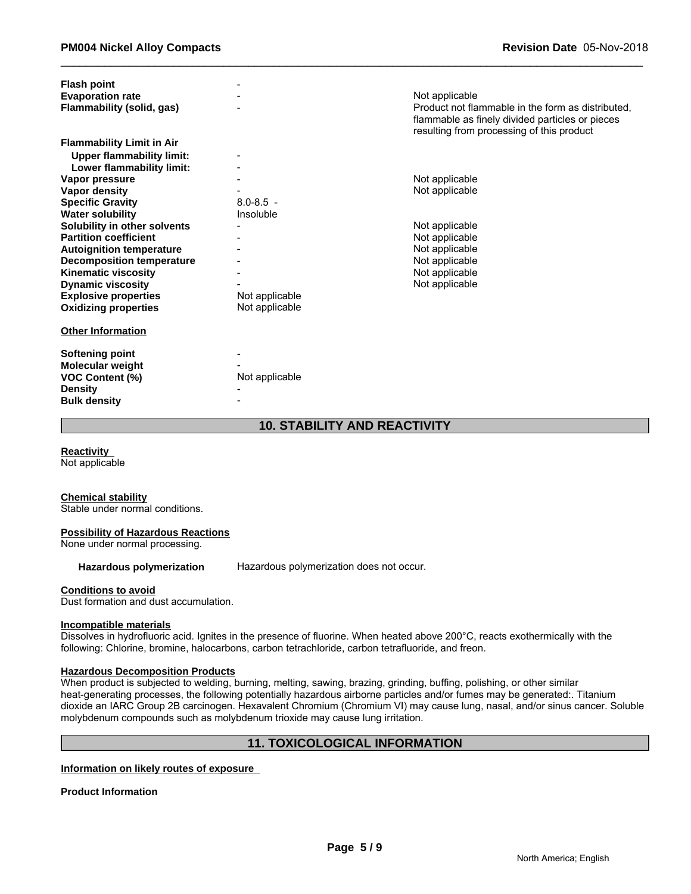| <b>Flash point</b>               |                |                                                   |
|----------------------------------|----------------|---------------------------------------------------|
| <b>Evaporation rate</b>          |                | Not applicable                                    |
| Flammability (solid, gas)        |                | Product not flammable in the form as distributed. |
|                                  |                | flammable as finely divided particles or pieces   |
|                                  |                | resulting from processing of this product         |
| <b>Flammability Limit in Air</b> |                |                                                   |
| <b>Upper flammability limit:</b> |                |                                                   |
| Lower flammability limit:        |                |                                                   |
| Vapor pressure                   |                | Not applicable                                    |
| Vapor density                    |                | Not applicable                                    |
| <b>Specific Gravity</b>          | $8.0 - 8.5 -$  |                                                   |
| <b>Water solubility</b>          | Insoluble      |                                                   |
| Solubility in other solvents     |                | Not applicable                                    |
| <b>Partition coefficient</b>     |                | Not applicable                                    |
| <b>Autoignition temperature</b>  |                | Not applicable                                    |
| <b>Decomposition temperature</b> |                | Not applicable                                    |
| <b>Kinematic viscosity</b>       |                | Not applicable                                    |
| <b>Dynamic viscosity</b>         |                | Not applicable                                    |
| <b>Explosive properties</b>      | Not applicable |                                                   |
| <b>Oxidizing properties</b>      | Not applicable |                                                   |
|                                  |                |                                                   |
| <b>Other Information</b>         |                |                                                   |
| <b>Softening point</b>           |                |                                                   |
| Molecular weight                 |                |                                                   |
| <b>VOC Content (%)</b>           | Not applicable |                                                   |
| <b>Density</b>                   |                |                                                   |
| <b>Bulk density</b>              |                |                                                   |

### **10. STABILITY AND REACTIVITY**

**Reactivity**  Not applicable

### **Chemical stability**

Stable under normal conditions.

### **Possibility of Hazardous Reactions**

None under normal processing.

**Hazardous polymerization** Hazardous polymerization does not occur.

### **Conditions to avoid**

Dust formation and dust accumulation.

### **Incompatible materials**

Dissolves in hydrofluoric acid. Ignites in the presence of fluorine. When heated above 200°C, reacts exothermically with the following: Chlorine, bromine, halocarbons, carbon tetrachloride, carbon tetrafluoride, and freon.

### **Hazardous Decomposition Products**

When product is subjected to welding, burning, melting, sawing, brazing, grinding, buffing, polishing, or other similar heat-generating processes, the following potentially hazardous airborne particles and/or fumes may be generated:. Titanium dioxide an IARC Group 2B carcinogen. Hexavalent Chromium (Chromium VI) may cause lung, nasal, and/or sinus cancer. Soluble molybdenum compounds such as molybdenum trioxide may cause lung irritation.

### **11. TOXICOLOGICAL INFORMATION**

**Information on likely routes of exposure** 

**Product Information**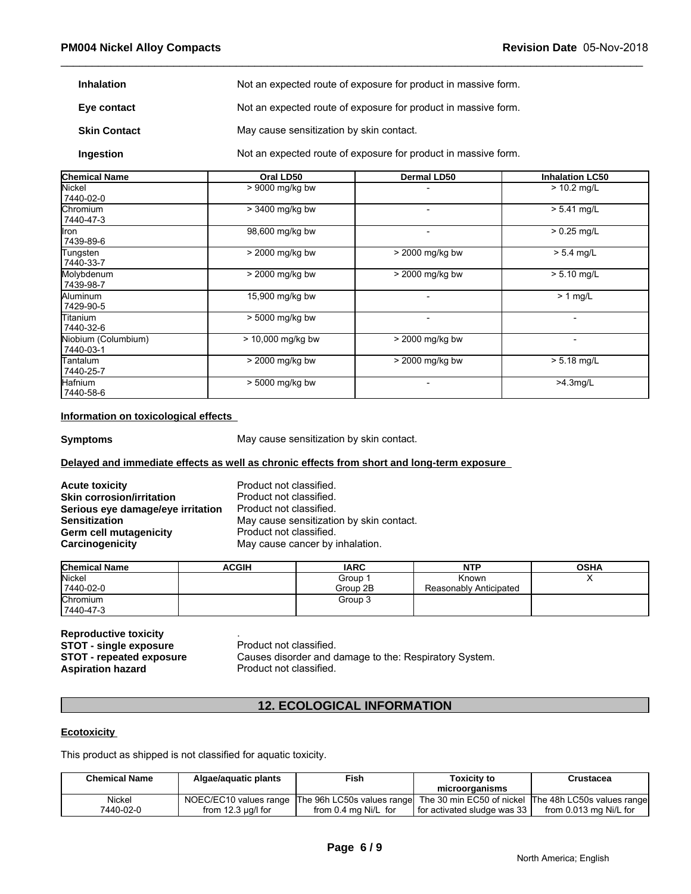| <b>Inhalation</b>   | Not an expected route of exposure for product in massive form. |
|---------------------|----------------------------------------------------------------|
| Eye contact         | Not an expected route of exposure for product in massive form. |
| <b>Skin Contact</b> | May cause sensitization by skin contact.                       |
| Ingestion           | Not an expected route of exposure for product in massive form. |

| <b>Chemical Name</b>             | Oral LD50         | <b>Dermal LD50</b>       | <b>Inhalation LC50</b>   |
|----------------------------------|-------------------|--------------------------|--------------------------|
| Nickel<br>7440-02-0              | > 9000 mg/kg bw   |                          | $> 10.2$ mg/L            |
| lChromium<br>7440-47-3           | > 3400 mg/kg bw   |                          | $> 5.41$ mg/L            |
| Iron<br>7439-89-6                | 98,600 mg/kg bw   |                          | $> 0.25$ mg/L            |
| Tungsten<br>7440-33-7            | > 2000 mg/kg bw   | > 2000 mg/kg bw          | $> 5.4$ mg/L             |
| Molybdenum<br>7439-98-7          | > 2000 mg/kg bw   | > 2000 mg/kg bw          | $> 5.10$ mg/L            |
| Aluminum<br>7429-90-5            | 15,900 mg/kg bw   |                          | $> 1$ mg/L               |
| Titanium<br>7440-32-6            | > 5000 mg/kg bw   | $\overline{\phantom{0}}$ | ٠                        |
| Niobium (Columbium)<br>7440-03-1 | > 10,000 mg/kg bw | > 2000 mg/kg bw          | $\overline{\phantom{0}}$ |
| Tantalum<br>7440-25-7            | > 2000 mg/kg bw   | > 2000 mg/kg bw          | $> 5.18$ mg/L            |
| Hafnium<br>7440-58-6             | > 5000 mg/kg bw   |                          | $>4.3$ mg/L              |

### **Information on toxicological effects**

**Symptoms** May cause sensitization by skin contact.

### **Delayed and immediate effects as well as chronic effects from short and long-term exposure**

**Acute toxicity**<br> **Acute toxicity**<br> **Skin corrosion/irritation**<br> **Product not classified. Skin corrosion/irritation**<br>**Serious eye damage/eye irritation** Product not classified. **Serious eye damage/eye irritation<br>Sensitization Germ cell mutagenicity example 3 and Carcinogenicity**<br> **Carcinogenicity May cause cancer by** 

May cause sensitization by skin contact. May cause cancer by inhalation.

| <b>Chemical Name</b> | ACGIH | <b>IARC</b> | <b>NTP</b>             | <b>OSHA</b> |
|----------------------|-------|-------------|------------------------|-------------|
| Nickel               |       | Group       | Known                  |             |
| 7440-02-0            |       | Group 2B    | Reasonably Anticipated |             |
| Chromium             |       | Group 3     |                        |             |
| 7440-47-3            |       |             |                        |             |

**Reproductive toxicity**<br>**STOT - single exposure** Product not classified. **STOT - single exposure<br>STOT - repeated exposure** 

# **12. ECOLOGICAL INFORMATION**

### **Ecotoxicity**

| <b>INCRIPTION</b><br><b>STOT - single exposure</b><br>STOT - repeated exposure<br><b>Aspiration hazard</b> | Product not classified.<br>Product not classified. | Causes disorder and damage to the: Respiratory System. |                                                          |                                                      |
|------------------------------------------------------------------------------------------------------------|----------------------------------------------------|--------------------------------------------------------|----------------------------------------------------------|------------------------------------------------------|
|                                                                                                            |                                                    | <b>12. ECOLOGICAL INFORMATION</b>                      |                                                          |                                                      |
| <b>Ecotoxicity</b>                                                                                         |                                                    |                                                        |                                                          |                                                      |
| This product as shipped is not classified for aquatic toxicity.                                            |                                                    |                                                        |                                                          |                                                      |
| <b>Chemical Name</b>                                                                                       | Algae/aquatic plants                               | Fish                                                   | Toxicity to<br>microorganisms                            | <b>Crustacea</b>                                     |
| Nickel<br>7440-02-0                                                                                        | NOEC/EC10 values range<br>from $12.3 \mu q/l$ for  | The 96h LC50s values range<br>from 0.4 mg Ni/L for     | The 30 min EC50 of nickel<br>for activated sludge was 33 | The 48h LC50s values range<br>from 0.013 mg Ni/L for |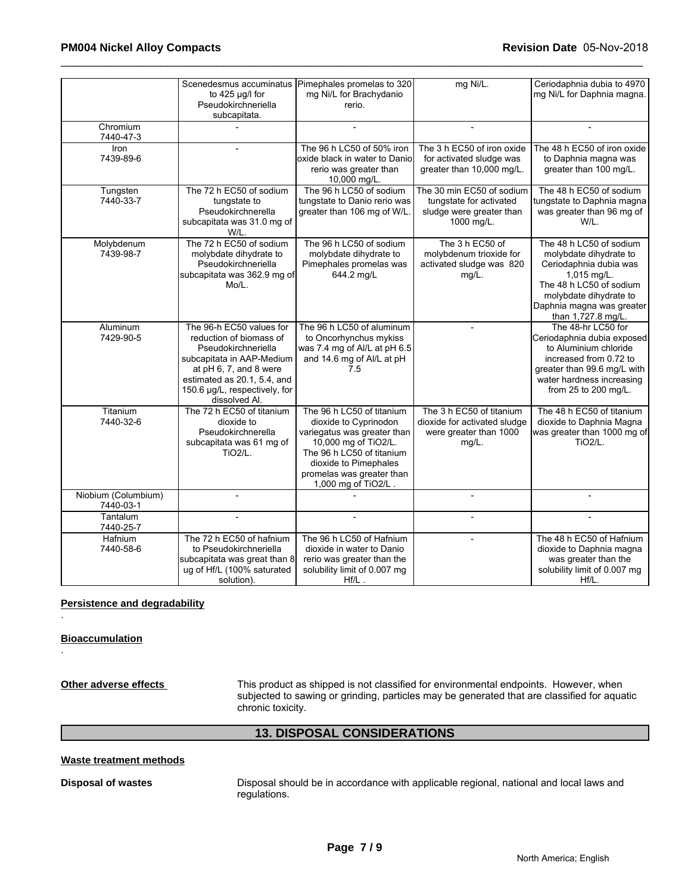|                                  | Scenedesmus accuminatus<br>to $425$ µg/l for<br>Pseudokirchneriella<br>subcapitata.                                                                                                                                | Pimephales promelas to 320<br>mg Ni/L for Brachydanio<br>rerio.                                                                                                                                                     | mg Ni/L.                                                                                       | Ceriodaphnia dubia to 4970<br>mg Ni/L for Daphnia magna.                                                                                                                                           |
|----------------------------------|--------------------------------------------------------------------------------------------------------------------------------------------------------------------------------------------------------------------|---------------------------------------------------------------------------------------------------------------------------------------------------------------------------------------------------------------------|------------------------------------------------------------------------------------------------|----------------------------------------------------------------------------------------------------------------------------------------------------------------------------------------------------|
| Chromium<br>7440-47-3            |                                                                                                                                                                                                                    |                                                                                                                                                                                                                     | $\overline{a}$                                                                                 |                                                                                                                                                                                                    |
| Iron<br>7439-89-6                |                                                                                                                                                                                                                    | The 96 h LC50 of 50% iron<br>oxide black in water to Danio<br>rerio was greater than<br>10,000 mg/L.                                                                                                                | The 3 h EC50 of iron oxide<br>for activated sludge was<br>greater than 10,000 mg/L.            | The 48 h EC50 of iron oxide<br>to Daphnia magna was<br>greater than 100 mg/L.                                                                                                                      |
| Tungsten<br>7440-33-7            | The 72 h EC50 of sodium<br>tungstate to<br>Pseudokirchnerella<br>subcapitata was 31.0 mg of<br>W/L.                                                                                                                | The 96 h LC50 of sodium<br>tungstate to Danio rerio was<br>greater than 106 mg of W/L.                                                                                                                              | The 30 min EC50 of sodium<br>tungstate for activated<br>sludge were greater than<br>1000 mg/L. | The 48 h EC50 of sodium<br>tungstate to Daphnia magna<br>was greater than 96 mg of<br>W/L.                                                                                                         |
| Molybdenum<br>7439-98-7          | The 72 h EC50 of sodium<br>molybdate dihydrate to<br>Pseudokirchneriella<br>subcapitata was 362.9 mg of<br>Mo/L.                                                                                                   | The 96 h LC50 of sodium<br>molybdate dihydrate to<br>Pimephales promelas was<br>644.2 mg/L                                                                                                                          | The 3 h EC50 of<br>molybdenum trioxide for<br>activated sludge was 820<br>mg/L.                | The 48 h LC50 of sodium<br>molybdate dihydrate to<br>Ceriodaphnia dubia was<br>1,015 mg/L.<br>The 48 h LC50 of sodium<br>molybdate dihydrate to<br>Daphnia magna was greater<br>than 1,727.8 mg/L. |
| <b>Aluminum</b><br>7429-90-5     | The 96-h EC50 values for<br>reduction of biomass of<br>Pseudokirchneriella<br>subcapitata in AAP-Medium<br>at pH 6, 7, and 8 were<br>estimated as 20.1, 5.4, and<br>150.6 µg/L, respectively, for<br>dissolved Al. | The 96 h LC50 of aluminum<br>to Oncorhynchus mykiss<br>was 7.4 mg of Al/L at pH 6.5<br>and 14.6 mg of Al/L at pH<br>7.5                                                                                             | $\blacksquare$                                                                                 | The 48-hr LC50 for<br>Ceriodaphnia dubia exposed<br>to Aluminium chloride<br>increased from 0.72 to<br>greater than 99.6 mg/L with<br>water hardness increasing<br>from 25 to 200 mg/L.            |
| Titanium<br>7440-32-6            | The 72 h EC50 of titanium<br>dioxide to<br>Pseudokirchnerella<br>subcapitata was 61 mg of<br><b>TiO2/L.</b>                                                                                                        | The 96 h LC50 of titanium<br>dioxide to Cyprinodon<br>variegatus was greater than<br>10,000 mg of TiO2/L.<br>The 96 h LC50 of titanium<br>dioxide to Pimephales<br>promelas was greater than<br>1,000 mg of TiO2/L. | The 3 h EC50 of titanium<br>dioxide for activated sludge<br>were greater than 1000<br>$mg/L$ . | The 48 h EC50 of titanium<br>dioxide to Daphnia Magna<br>was greater than 1000 mg of<br><b>TiO2/L.</b>                                                                                             |
| Niobium (Columbium)<br>7440-03-1 | $\overline{a}$                                                                                                                                                                                                     |                                                                                                                                                                                                                     | $\overline{a}$                                                                                 |                                                                                                                                                                                                    |
| Tantalum<br>7440-25-7            |                                                                                                                                                                                                                    |                                                                                                                                                                                                                     |                                                                                                |                                                                                                                                                                                                    |
| Hafnium<br>7440-58-6             | The 72 h EC50 of hafnium<br>to Pseudokirchneriella<br>subcapitata was great than 8<br>ug of Hf/L (100% saturated<br>solution).                                                                                     | The 96 h LC50 of Hafnium<br>dioxide in water to Danio<br>rerio was greater than the<br>solubility limit of 0.007 mg<br>$Hf/L$ .                                                                                     | $\overline{a}$                                                                                 | The 48 h EC50 of Hafnium<br>dioxide to Daphnia magna<br>was greater than the<br>solubility limit of 0.007 mg<br>Hf/L.                                                                              |

### **Persistence and degradability**

### **Bioaccumulation**

.

.

**Other adverse effects** This product as shipped is not classified for environmental endpoints. However, when subjected to sawing or grinding, particles may be generated that are classified for aquatic chronic toxicity.

# **13. DISPOSAL CONSIDERATIONS**

### **Waste treatment methods**

**Disposal of wastes** Disposal should be in accordance with applicable regional, national and local laws and regulations.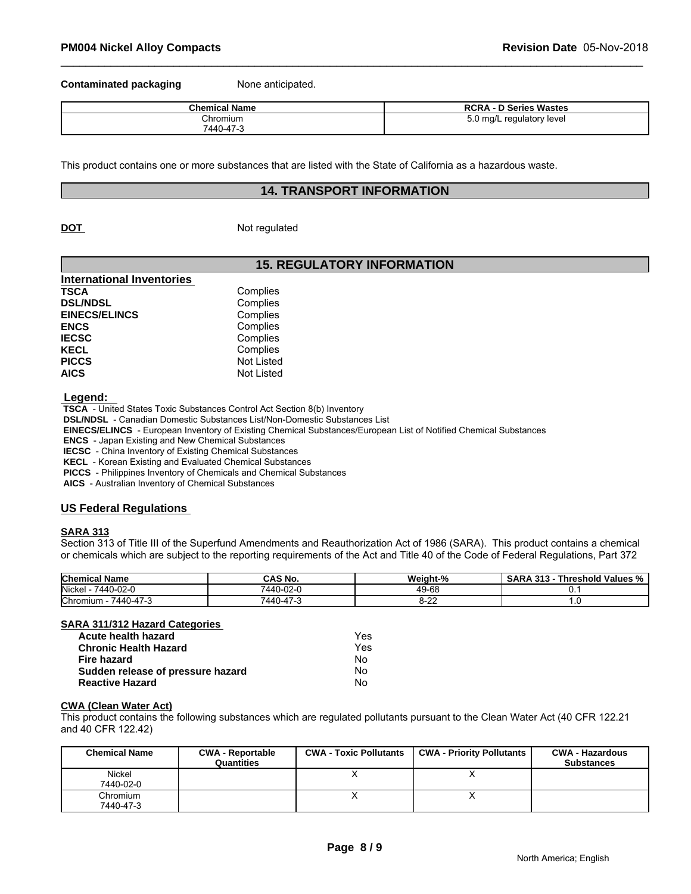**Contaminated packaging Mone anticipated.** 

| <b>Chemical Name</b> | Series Wastes ר<br><b>DOP</b><br><b>RCRA</b><br>◡ |
|----------------------|---------------------------------------------------|
| Chromium             | ) ma/L reaulatorv level<br>J.U<br>. .             |
| 7440-47-5            |                                                   |

This product contains one or more substances that are listed with the State of California as a hazardous waste.

### **14. TRANSPORT INFORMATION**

**DOT** Not regulated

### **15. REGULATORY INFORMATION**

| Complies          |
|-------------------|
| Complies          |
| Complies          |
| Complies          |
| Complies          |
| Complies          |
| <b>Not Listed</b> |
| Not Listed        |
|                   |

 **Legend:** 

 **TSCA** - United States Toxic Substances Control Act Section 8(b) Inventory

 **DSL/NDSL** - Canadian Domestic Substances List/Non-Domestic Substances List

 **EINECS/ELINCS** - European Inventory of Existing Chemical Substances/European List of Notified Chemical Substances

 **ENCS** - Japan Existing and New Chemical Substances

 **IECSC** - China Inventory of Existing Chemical Substances

 **KECL** - Korean Existing and Evaluated Chemical Substances

 **PICCS** - Philippines Inventory of Chemicals and Chemical Substances

 **AICS** - Australian Inventory of Chemical Substances

### **US Federal Regulations**

### **SARA 313**

Section 313 of Title III of the Superfund Amendments and Reauthorization Act of 1986 (SARA). This product contains a chemical or chemicals which are subject to the reporting requirements of the Act and Title 40 of the Code of Federal Regulations, Part 372

| <b>Chemical Name</b>                    | CAS No.   | <br>Weiaht-%                                    | . .<br>---<br>Threshold Values %<br><b>SARA 313</b> |
|-----------------------------------------|-----------|-------------------------------------------------|-----------------------------------------------------|
| Nickel<br>7440-02-C                     | 7440-02-u | $\overline{\phantom{a}}$<br>$49 - r$<br>nc<br>™ | v.                                                  |
| Chromium<br>$\rightarrow$<br>7440-47- . | 7440-4.   | ---                                             |                                                     |

### **SARA 311/312 Hazard Categories**

| Acute health hazard               | Yes |
|-----------------------------------|-----|
| <b>Chronic Health Hazard</b>      | Yes |
| Fire hazard                       | Nο  |
| Sudden release of pressure hazard | Nο  |
| <b>Reactive Hazard</b>            | No  |

### **CWA (Clean Water Act)**

| Acute health hazard               |                                       | Yes                           |                                                                                                                              |                                             |
|-----------------------------------|---------------------------------------|-------------------------------|------------------------------------------------------------------------------------------------------------------------------|---------------------------------------------|
| <b>Chronic Health Hazard</b>      |                                       | Yes                           |                                                                                                                              |                                             |
| Fire hazard                       |                                       | No                            |                                                                                                                              |                                             |
| Sudden release of pressure hazard |                                       | No.                           |                                                                                                                              |                                             |
| <b>Reactive Hazard</b>            |                                       | No                            |                                                                                                                              |                                             |
| <b>CWA (Clean Water Act)</b>      |                                       |                               | This product contains the following substances which are regulated pollutants pursuant to the Clean Water Act (40 CFR 122.21 |                                             |
| and 40 CFR 122.42)                |                                       |                               |                                                                                                                              |                                             |
| <b>Chemical Name</b>              | <b>CWA - Reportable</b><br>Quantities | <b>CWA - Toxic Pollutants</b> | <b>CWA - Priority Pollutants</b>                                                                                             | <b>CWA - Hazardous</b><br><b>Substances</b> |
| Nickel                            |                                       | v                             | х                                                                                                                            |                                             |
| 7440-02-0                         |                                       |                               |                                                                                                                              |                                             |
| Chromium                          |                                       | $\check{ }$                   | X                                                                                                                            |                                             |